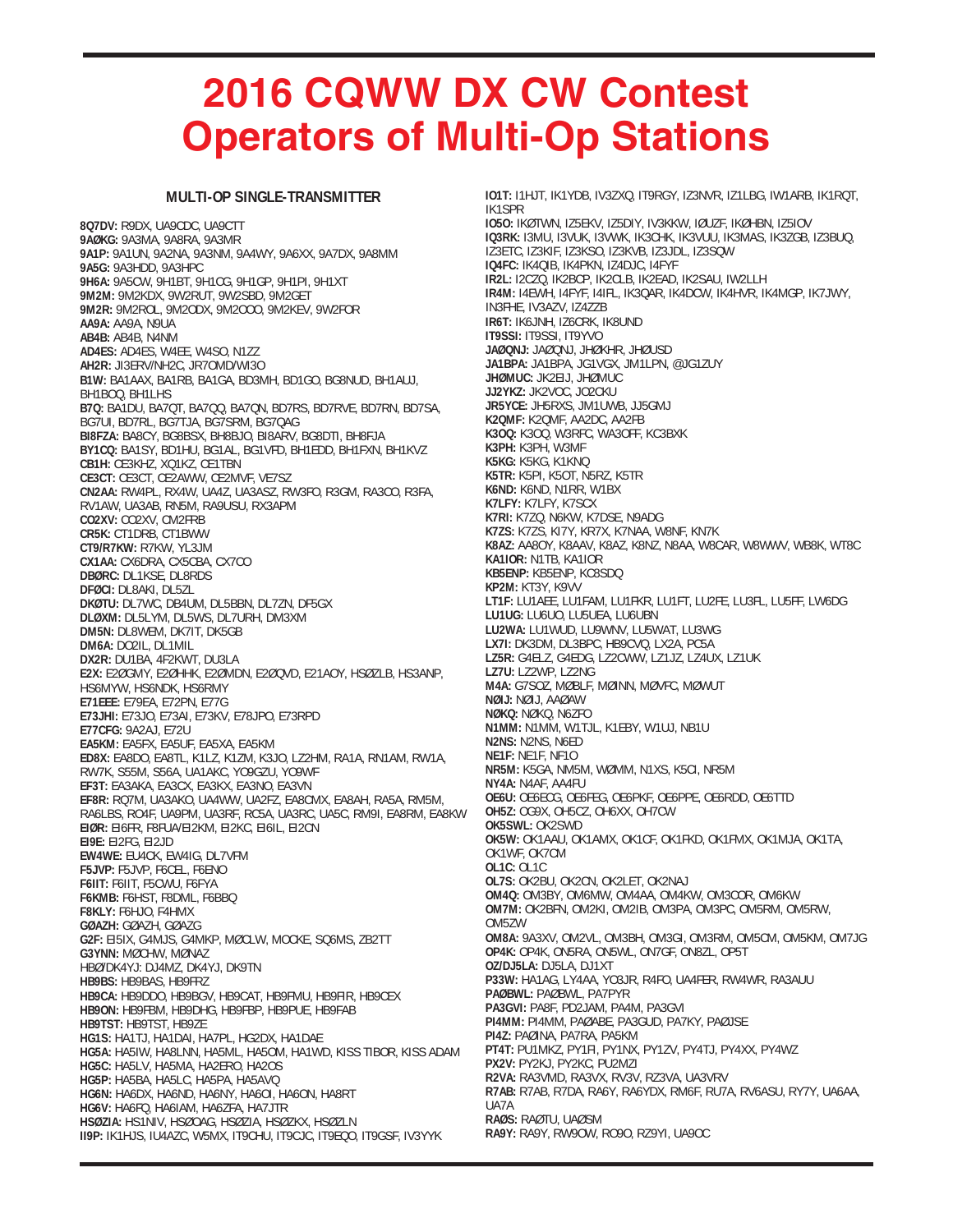## **2016 CQWW DX CW Contest Operators of Multi-Op Stations**

## **MULTI-OP SINGLE-TRANSMITTER**

**8Q7DV:** R9DX, UA9CDC, UA9CTT **9AØKG:** 9A3MA, 9A8RA, 9A3MR **9A1P:** 9A1UN, 9A2NA, 9A3NM, 9A4WY, 9A6XX, 9A7DX, 9A8MM **9A5G:** 9A3HDD, 9A3HPC **9H6A:** 9A5CW, 9H1BT, 9H1CG, 9H1GP, 9H1PI, 9H1XT **9M2M:** 9M2KDX, 9W2RUT, 9W2SBD, 9M2GET **9M2R:** 9M2ROL, 9M2ODX, 9M2OOO, 9M2KEV, 9W2FOR **AA9A:** AA9A, N9UA **AB4B:** AB4B, N4NM **AD4ES:** AD4ES, W4EE, W4SO, N1ZZ **AH2R:** JI3ERV/NH2C, JR7OMD/WI3O **B1W:** BA1AAX, BA1RB, BA1GA, BD3MH, BD1GO, BG8NUD, BH1AUJ, BH1BOQ, BH1LHS **B7Q:** BA1DU, BA7QT, BA7QQ, BA7QN, BD7RS, BD7RVE, BD7RN, BD7SA, BG7UI, BD7RL, BG7TJA, BG7SRM, BG7QAG **BI8FZA:** BA8CY, BG8BSX, BH8BJO, BI8ARV, BG8DTI, BH8FJA **BY1CQ:** BA1SY, BD1HU, BG1AL, BG1VFD, BH1EDD, BH1FXN, BH1KVZ **CB1H:** CE3KHZ, XQ1KZ, CE1TBN **CE3CT:** CE3CT, CE2AWW, CE2MVF, VE7SZ **CN2AA:** RW4PL, RX4W, UA4Z, UA3ASZ, RW3FO, R3GM, RA3CO, R3FA, RV1AW, UA3AB, RN5M, RA9USU, RX3APM **CO2XV:** CO2XV, CM2FRB **CR5K:** CT1DRB, CT1BWW **CT9/R7KW:** R7KW, YL3JM **CX1AA:** CX6DRA, CX5CBA, CX7CO **DBØRC:** DL1KSE, DL8RDS **DFØCI:** DL8AKI, DL5ZL **DKØTU:** DL7WC, DB4UM, DL5BBN, DL7ZN, DF5GX **DLØXM:** DL5LYM, DL5WS, DL7URH, DM3XM **DM5N:** DL8WEM, DK7IT, DK5GB **DM6A:** DO2IL, DL1MIL **DX2R:** DU1BA, 4F2KWT, DU3LA **E2X:** E2ØGMY, E2ØHHK, E2ØMDN, E2ØQVD, E21AOY, HSØZLB, HS3ANP, HS6MYW, HS6NDK, HS6RMY **E71EEE:** E79EA, E72PN, E77G **E73JHI:** E73JO, E73AI, E73KV, E78JPO, E73RPD **E77CFG:** 9A2AJ, E72U **EA5KM:** EA5FX, EA5UF, EA5XA, EA5KM **ED8X:** EA8DO, EA8TL, K1LZ, K1ZM, K3JO, LZ2HM, RA1A, RN1AM, RW1A, RW7K, S55M, S56A, UA1AKC, YO9GZU, YO9WF **EF3T:** EA3AKA, EA3CX, EA3KX, EA3NO, EA3VN **EF8R:** RQ7M, UA3AKO, UA4WW, UA2FZ, EA8CMX, EA8AH, RA5A, RM5M, RA6LBS, RO4F, UA9PM, UA3RF, RC5A, UA3RC, UA5C, RM9I, EA8RM, EA8KW **EIØR:** EI6FR, F8FUA/EI2KM, EI2KC, EI6IL, EI2CN **EI9E:** EI2FG, EI2JD **EW4WE:** EU4CK, EW4IG, DL7VFM **F5JVP:** F5JVP, F6CEL, F6ENO **F6IIT:** F6IIT, F5CWU, F6FYA **F6KMB:** F6HST, F8DML, F6BBQ **F8KLY:** F6HJO, F4HMX **GØAZH:** GØAZH, GØAZG **G2F:** EI5IX, G4MJS, G4MKP, MØCLW, MOCKE, SQ6MS, ZB2TT **G3YNN:** MØCHW, MØNAZ HBØ/DK4YJ: DJ4MZ, DK4YJ, DK9TN **HB9BS:** HB9BAS, HB9FRZ **HB9CA:** HB9DDO, HB9BGV, HB9CAT, HB9FMU, HB9FIR, HB9CEX **HB9ON:** HB9FBM, HB9DHG, HB9FBP, HB9PUE, HB9FAB **HB9TST:** HB9TST, HB9ZE **HG1S:** HA1TJ, HA1DAI, HA7PL, HG2DX, HA1DAE **HG5A:** HA5IW, HA8LNN, HA5ML, HA5OM, HA1WD, KISS TIBOR, KISS ADAM **HG5C:** HA5LV, HA5MA, HA2ERO, HA2OS **HG5P:** HA5BA, HA5LC, HA5PA, HA5AVQ **HG6N:** HA6DX, HA6ND, HA6NY, HA6OI, HA6ON, HA8RT **HG6V:** HA6FQ, HA6IAM, HA6ZFA, HA7JTR **HSØZIA:** HS1NIV, HSØOAG, HSØZIA, HSØZKX, HSØZLN **II9P:** IK1HJS, IU4AZC, W5MX, IT9CHU, IT9CJC, IT9EQO, IT9GSF, IV3YYK

**IO1T:** I1HJT, IK1YDB, IV3ZXQ, IT9RGY, IZ3NVR, IZ1LBG, IW1ARB, IK1RQT, IK1SPR **IO5O:** IKØTWN, IZ5EKV, IZ5DIY, IV3KKW, IØUZF, IKØHBN, IZ5IOV **IQ3RK:** I3MU, I3VUK, I3VWK, IK3CHK, IK3VUU, IK3MAS, IK3ZGB, IZ3BUQ, IZ3ETC, IZ3KIF, IZ3KSO, IZ3KVB, IZ3JDL, IZ3SQW **IQ4FC:** IK4QIB, IK4PKN, IZ4DJC, I4FYF **IR2L:** I2CZQ, IK2BCP, IK2CLB, IK2EAD, IK2SAU, IW2LLH **IR4M:** I4EWH, I4FYF, I4IFL, IK3QAR, IK4DCW, IK4HVR, IK4MGP, IK7JWY, IN3FHE, IV3AZV, IZ4ZZB **IR6T:** IK6JNH, IZ6CRK, IK8UND **IT9SSI:** IT9SSI, IT9YVO **JAØQNJ:** JAØQNJ, JHØKHR, JHØUSD **JA1BPA:** JA1BPA, JG1VGX, JM1LPN, @JG1ZUY **JHØMUC:** JK2EIJ, JHØMUC **JJ2YKZ:** JK2VOC, JO2CKU **JR5YCE:** JH5RXS, JM1UWB, JJ5GMJ **K2QMF:** K2QMF, AA2DC, AA2FB **K3OQ:** K3OQ, W3RFC, WA3OFF, KC3BXK **K3PH:** K3PH, W3MF **K5KG:** K5KG, K1KNQ **K5TR:** K5PI, K5OT, N5RZ, K5TR **K6ND:** K6ND, N1RR, W1BX **K7LFY:** K7LFY, K7SCX **K7RI:** K7ZQ, N6KW, K7DSE, N9ADG **K7ZS:** K7ZS, KI7Y, KR7X, K7NAA, W8NF, KN7K **K8AZ:** AA8OY, K8AAV, K8AZ, K8NZ, N8AA, W8CAR, W8WWV, WB8K, WT8C **KA1IOR:** N1TB, KA1IOR **KB5ENP:** KB5ENP, KC8SDQ **KP2M:** KT3Y, K9VV **LT1F:** LU1AEE, LU1FAM, LU1FKR, LU1FT, LU2FE, LU3FL, LU5FF, LW6DG **LU1UG:** LU6UO, LU5UEA, LU6UBN **LU2WA:** LU1WUD, LU9WNV, LU5WAT, LU3WG **LX7I:** DK3DM, DL3BPC, HB9CVQ, LX2A, PC5A **LZ5R:** G4ELZ, G4EDG, LZ2CWW, LZ1JZ, LZ4UX, LZ1UK **LZ7U:** LZ2WP, LZ2NG **M4A:** G7SOZ, MØBLF, MØINN, MØVFC, MØWUT **NØIJ:** NØIJ, AAØAW **NØKQ:** NØKQ, N6ZFO **N1MM:** N1MM, W1TJL, K1EBY, W1UJ, NB1U **N2NS:** N2NS, N6ED **NE1F:** NE1F, NF1O **NR5M:** K5GA, NM5M, WØMM, N1XS, K5CI, NR5M **NY4A:** N4AF, AA4FU **OE6U:** OE6ECG, OE6FEG, OE6PKF, OE6PPE, OE6RDD, OE6TTD **OH5Z:** OG9X, OH5CZ, OH6XX, OH7CW **OK5SWL:** OK2SWD **OK5W:** OK1AAU, OK1AMX, OK1CF, OK1FKD, OK1FMX, OK1MJA, OK1TA, OK1WF, OK7CM **OL1C:** OL1C **OL7S:** OK2BU, OK2CN, OK2LET, OK2NAJ **OM4Q:** OM3BY, OM6MW, OM4AA, OM4KW, OM3COR, OM6KW **OM7M:** OK2BFN, OM2KI, OM2IB, OM3PA, OM3PC, OM5RM, OM5RW, OM5ZW **OM8A:** 9A3XV, OM2VL, OM3BH, OM3GI, OM3RM, OM5CM, OM5KM, OM7JG **OP4K:** OP4K, ON5RA, ON5WL, ON7GF, ON8ZL, OP5T **OZ/DJ5LA:** DJ5LA, DJ1XT **P33W:** HA1AG, LY4AA, YO3JR, R4FO, UA4FER, RW4WR, RA3AUU **PAØBWL:** PAØBWL, PA7PYR **PA3GVI:** PA8F, PD2JAM, PA4M, PA3GVI **PI4MM:** PI4MM, PAØABE, PA3GUD, PA7KY, PAØJSE **PI4Z:** PAØINA, PA7RA, PA5KM **PT4T:** PU1MKZ, PY1FI, PY1NX, PY1ZV, PY4TJ, PY4XX, PY4WZ **PX2V:** PY2KJ, PY2KC, PU2MZI **R2VA:** RA3VMD, RA3VX, RV3V, RZ3VA, UA3VRV **R7AB:** R7AB, R7DA, RA6Y, RA6YDX, RM6F, RU7A, RV6ASU, RY7Y, UA6AA, UA7A **RAØS:** RAØTU, UAØSM **RA9Y:** RA9Y, RW9OW, RO9O, RZ9YI, UA9OC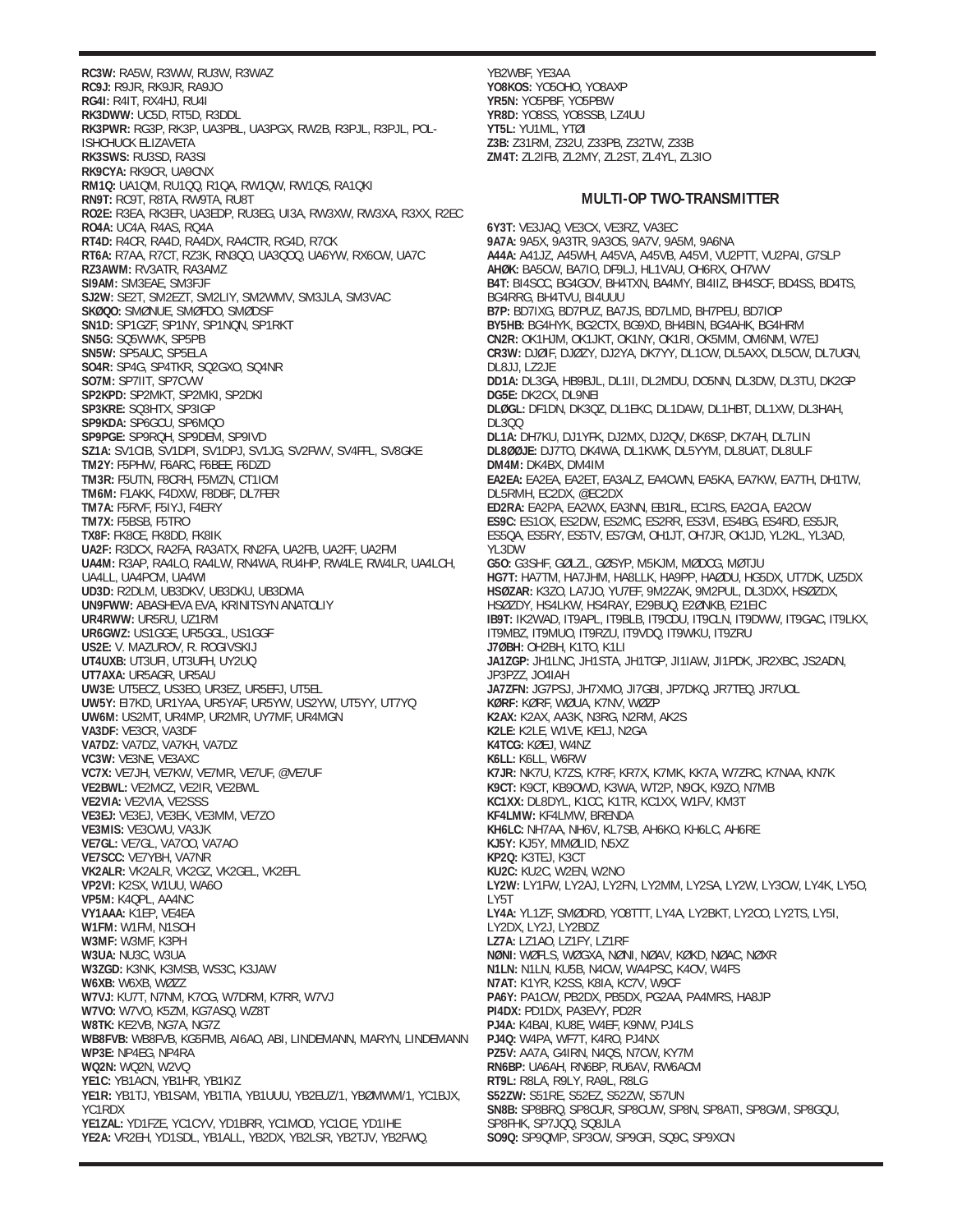**RC3W:** RA5W, R3WW, RU3W, R3WAZ **RC9J:** R9JR, RK9JR, RA9JO **RG4I:** R4IT, RX4HJ, RU4I **RK3DWW:** UC5D, RT5D, R3DDL **RK3PWR:** RG3P, RK3P, UA3PBL, UA3PGX, RW2B, R3PJL, R3PJL, POL-ISHCHUCK ELIZAVETA **RK3SWS:** RU3SD, RA3SI **RK9CYA:** RK9CR, UA9CNX **RM1Q:** UA1QM, RU1QQ, R1QA, RW1QW, RW1QS, RA1QKI **RN9T:** RC9T, R8TA, RW9TA, RU8T **RO2E:** R3EA, RK3ER, UA3EDP, RU3EG, UI3A, RW3XW, RW3XA, R3XX, R2EC **RO4A:** UC4A, R4AS, RQ4A **RT4D:** R4CR, RA4D, RA4DX, RA4CTR, RG4D, R7CK **RT6A:** R7AA, R7CT, RZ3K, RN3QO, UA3QOQ, UA6YW, RX6CW, UA7C **RZ3AWM:** RV3ATR, RA3AMZ **SI9AM:** SM3EAE, SM3FJF **SJ2W:** SE2T, SM2EZT, SM2LIY, SM2WMV, SM3JLA, SM3VAC **SKØQO:** SMØNUE, SMØFDO, SMØDSF **SN1D:** SP1GZF, SP1NY, SP1NQN, SP1RKT **SN5G:** SQ5WWK, SP5PB **SN5W:** SP5AUC, SP5ELA **SO4R:** SP4G, SP4TKR, SQ2GXO, SQ4NR **SO7M:** SP7IIT, SP7CVW **SP2KPD:** SP2MKT, SP2MKI, SP2DKI **SP3KRE:** SQ3HTX, SP3IGP **SP9KDA:** SP6GCU, SP6MQO **SP9PGE:** SP9RQH, SP9DEM, SP9IVD **SZ1A:** SV1CIB, SV1DPI, SV1DPJ, SV1JG, SV2FWV, SV4FFL, SV8GKE **TM2Y:** F5PHW, F6ARC, F6BEE, F6DZD **TM3R:** F5UTN, F8CRH, F5MZN, CT1ICM **TM6M:** F1AKK, F4DXW, F8DBF, DL7FER **TM7A:** F5RVF, F5IYJ, F4ERY **TM7X:** F5BSB, F5TRO **TX8F:** FK8CE, FK8DD, FK8IK **UA2F:** R3DCX, RA2FA, RA3ATX, RN2FA, UA2FB, UA2FF, UA2FM **UA4M:** R3AP, RA4LO, RA4LW, RN4WA, RU4HP, RW4LE, RW4LR, UA4LCH, UA4LL, UA4PCM, UA4WI **UD3D:** R2DLM, UB3DKV, UB3DKU, UB3DMA **UN9FWW:** ABASHEVA EVA, KRINITSYN ANATOLIY **UR4RWW:** UR5RU, UZ1RM **UR6GWZ:** US1GGE, UR5GGL, US1GGF **US2E:** V. MAZUROV, R. ROGIVSKIJ **UT4UXB:** UT3UFI, UT3UFH, UY2UQ **UT7AXA:** UR5AGR, UR5AU **UW3E:** UT5ECZ, US3EO, UR3EZ, UR5EFJ, UT5EL **UW5Y:** EI7KD, UR1YAA, UR5YAF, UR5YW, US2YW, UT5YY, UT7YQ **UW6M:** US2MT, UR4MP, UR2MR, UY7MF, UR4MGN **VA3DF:** VE3CR, VA3DF **VA7DZ:** VA7DZ, VA7KH, VA7DZ **VC3W:** VE3NE, VE3AXC **VC7X:** VE7JH, VE7KW, VE7MR, VE7UF, @VE7UF **VE2BWL:** VE2MCZ, VE2IR, VE2BWL **VE2VIA:** VE2VIA, VE2SSS **VE3EJ:** VE3EJ, VE3EK, VE3MM, VE7ZO **VE3MIS:** VE3CWU, VA3JK **VE7GL:** VE7GL, VA7OO, VA7AO **VE7SCC:** VE7YBH, VA7NR **VK2ALR:** VK2ALR, VK2GZ, VK2GEL, VK2EFL **VP2VI:** K2SX, W1UU, WA6O **VP5M:** K4QPL, AA4NC **VY1AAA:** K1EP, VE4EA **W1FM:** W1FM, N1SOH **W3MF:** W3MF, K3PH **W3UA:** NU3C, W3UA **W3ZGD:** K3NK, K3MSB, WS3C, K3JAW **W6XB:** W6XB, WØZZ **W7VJ:** KU7T, N7NM, K7OG, W7DRM, K7RR, W7VJ **W7VO:** W7VO, K5ZM, KG7ASQ, WZ8T **W8TK:** KE2VB, NG7A, NG7Z **WB8FVB:** WB8FVB, KG5FMB, AI6AO, ABI, LINDEMANN, MARYN, LINDEMANN **WP3E:** NP4EG, NP4RA **WQ2N:** WQ2N, W2VQ **YE1C:** YB1ACN, YB1HR, YB1KIZ **YE1R:** YB1TJ, YB1SAM, YB1TIA, YB1UUU, YB2EUZ/1, YBØMWM/1, YC1BJX, YC1RDX **YE1ZAL:** YD1FZE, YC1CYV, YD1BRR, YC1MOD, YC1CIE, YD1IHE **YE2A:** VR2EH, YD1SDL, YB1ALL, YB2DX, YB2LSR, YB2TJV, YB2FWQ,

YB2WBF, YE3AA **YO8KOS:** YO5OHO, YO8AXP **YR5N:** YO5PBF, YO5PBW **YR8D:** YO8SS, YO8SSB, LZ4UU **YT5L:** YU1ML, YTØI **Z3B:** Z31RM, Z32U, Z33PB, Z32TW, Z33B **ZM4T:** ZL2IFB, ZL2MY, ZL2ST, ZL4YL, ZL3IO

## **MULTI-OP TWO-TRANSMITTER**

**6Y3T:** VE3JAQ, VE3CX, VE3RZ, VA3EC **9A7A:** 9A5X, 9A3TR, 9A3OS, 9A7V, 9A5M, 9A6NA **A44A:** A41JZ, A45WH, A45VA, A45VB, A45VI, VU2PTT, VU2PAI, G7SLP **AHØK:** BA5CW, BA7IO, DF9LJ, HL1VAU, OH6RX, OH7WV **B4T:** BI4SCC, BG4GOV, BH4TXN, BA4MY, BI4IIZ, BH4SCF, BD4SS, BD4TS, BG4RRG, BH4TVU, BI4UUU **B7P:** BD7IXG, BD7PUZ, BA7JS, BD7LMD, BH7PEU, BD7IOP **BY5HB:** BG4HYK, BG2CTX, BG9XD, BH4BIN, BG4AHK, BG4HRM **CN2R:** OK1HJM, OK1JKT, OK1NY, OK1RI, OK5MM, OM6NM, W7EJ **CR3W:** DJØIF, DJØZY, DJ2YA, DK7YY, DL1CW, DL5AXX, DL5CW, DL7UGN, DL8JJ, LZ2JE **DD1A:** DL3GA, HB9BJL, DL1II, DL2MDU, DO5NN, DL3DW, DL3TU, DK2GP **DG5E:** DK2CX, DL9NEI **DLØGL:** DF1DN, DK3QZ, DL1EKC, DL1DAW, DL1HBT, DL1XW, DL3HAH, DL3QQ **DL1A:** DH7KU, DJ1YFK, DJ2MX, DJ2QV, DK6SP, DK7AH, DL7LIN **DL8ØØJE:** DJ7TO, DK4WA, DL1KWK, DL5YYM, DL8UAT, DL8ULF **DM4M:** DK4BX, DM4IM **EA2EA:** EA2EA, EA2ET, EA3ALZ, EA4CWN, EA5KA, EA7KW, EA7TH, DH1TW, DL5RMH, EC2DX, @EC2DX **ED2RA:** EA2PA, EA2WX, EA3NN, EB1RL, EC1RS, EA2CIA, EA2CW **ES9C:** ES1OX, ES2DW, ES2MC, ES2RR, ES3VI, ES4BG, ES4RD, ES5JR, ES5QA, ES5RY, ES5TV, ES7GM, OH1JT, OH7JR, OK1JD, YL2KL, YL3AD, YL3DW **G5O:** G3SHF, GØLZL, GØSYP, M5KJM, MØDCG, MØTJU **HG7T:** HA7TM, HA7JHM, HA8LLK, HA9PP, HAØDU, HG5DX, UT7DK, UZ5DX **HSØZAR:** K3ZO, LA7JO, YU7EF, 9M2ZAK, 9M2PUL, DL3DXX, HSØZDX, HSØZDY, HS4LKW, HS4RAY, E29BUQ, E2ØNKB, E21EIC **IB9T:** IK2WAD, IT9APL, IT9BLB, IT9CDU, IT9CLN, IT9DWW, IT9GAC, IT9LKX, IT9MBZ, IT9MUO, IT9RZU, IT9VDQ, IT9WKU, IT9ZRU **J7ØBH:** OH2BH, K1TO, K1LI **JA1ZGP:** JH1LNC, JH1STA, JH1TGP, JI1IAW, JI1PDK, JR2XBC, JS2ADN, JP3PZZ, JO4IAH **JA7ZFN:** JG7PSJ, JH7XMO, JI7GBI, JP7DKQ, JR7TEQ, JR7UOL **KØRF:** KØRF, WØUA, K7NV, WØZP **K2AX:** K2AX, AA3K, N3RG, N2RM, AK2S **K2LE:** K2LE, W1VE, KE1J, N2GA **K4TCG:** KØEJ, W4NZ **K6LL:** K6LL, W6RW **K7JR:** NK7U, K7ZS, K7RF, KR7X, K7MK, KK7A, W7ZRC, K7NAA, KN7K **K9CT:** K9CT, KB9OWD, K3WA, WT2P, N9CK, K9ZO, N7MB **KC1XX:** DL8DYL, K1CC, K1TR, KC1XX, W1FV, KM3T **KF4LMW:** KF4LMW, BRENDA **KH6LC:** NH7AA, NH6V, KL7SB, AH6KO, KH6LC, AH6RE **KJ5Y:** KJ5Y, MMØLID, N5XZ **KP2Q:** K3TEJ, K3CT **KU2C:** KU2C, W2EN, W2NO **LY2W:** LY1FW, LY2AJ, LY2FN, LY2MM, LY2SA, LY2W, LY3CW, LY4K, LY5O, LY5T **LY4A:** YL1ZF, SMØDRD, YO8TTT, LY4A, LY2BKT, LY2CO, LY2TS, LY5I, LY2DX, LY2J, LY2BDZ **LZ7A:** LZ1AO, LZ1FY, LZ1RF **NØNI:** WØFLS, WØGXA, NØNI, NØAV, KØKD, NØAC, NØXR **N1LN:** N1LN, KU5B, N4CW, WA4PSC, K4OV, W4FS **N7AT:** K1YR, K2SS, K8IA, KC7V, W9CF **PA6Y:** PA1CW, PB2DX, PB5DX, PG2AA, PA4MRS, HA8JP **PI4DX:** PD1DX, PA3EVY, PD2R **PJ4A:** K4BAI, KU8E, W4EF, K9NW, PJ4LS **PJ4Q:** W4PA, WF7T, K4RO, PJ4NX **PZ5V:** AA7A, G4IRN, N4QS, N7CW, KY7M **RN6BP:** UA6AH, RN6BP, RU6AV, RW6ACM **RT9L:** R8LA, R9LY, RA9L, R8LG **S52ZW:** S51RE, S52EZ, S52ZW, S57UN **SN8B:** SP8BRQ, SP8CUR, SP8CUW, SP8N, SP8ATI, SP8GWI, SP8GQU, SP8FHK, SP7JQQ, SQ8JLA **SO9Q:** SP9QMP, SP3CW, SP9GFI, SQ9C, SP9XCN